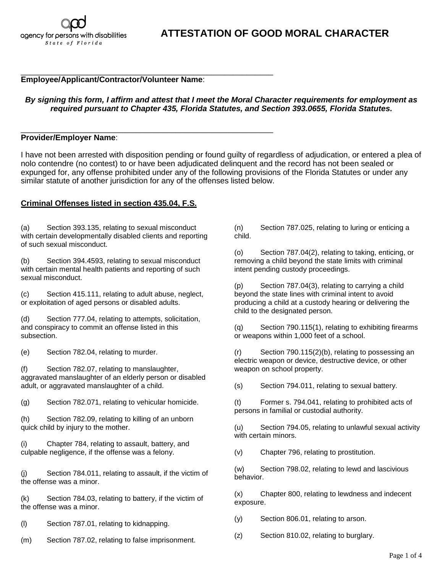#### \_\_\_\_\_\_\_\_\_\_\_\_\_\_\_\_\_\_\_\_\_\_\_\_\_\_\_\_\_\_\_\_\_\_\_\_\_\_\_\_\_\_\_\_\_\_\_\_\_\_\_\_\_\_\_\_\_ **Employee/Applicant/Contractor/Volunteer Name**:

## *By signing this form, I affirm and attest that I meet the Moral Character requirements for employment as required pursuant to Chapter 435, Florida Statutes, and Section 393.0655, Florida Statutes.*

#### \_\_\_\_\_\_\_\_\_\_\_\_\_\_\_\_\_\_\_\_\_\_\_\_\_\_\_\_\_\_\_\_\_\_\_\_\_\_\_\_\_\_\_\_\_\_\_\_\_\_\_\_\_\_\_\_\_ **Provider/Employer Name**:

I have not been arrested with disposition pending or found guilty of regardless of adjudication, or entered a plea of nolo contendre (no contest) to or have been adjudicated delinquent and the record has not been sealed or expunged for, any offense prohibited under any of the following provisions of the Florida Statutes or under any similar statute of another jurisdiction for any of the offenses listed below.

### **Criminal Offenses listed in section 435.04, F.S.**

(a) Section 393.135, relating to sexual misconduct with certain developmentally disabled clients and reporting of such sexual misconduct.

(b) Section 394.4593, relating to sexual misconduct with certain mental health patients and reporting of such sexual misconduct.

(c) Section 415.111, relating to adult abuse, neglect, or exploitation of aged persons or disabled adults.

(d) Section 777.04, relating to attempts, solicitation, and conspiracy to commit an offense listed in this subsection.

(e) Section 782.04, relating to murder.

(f) Section 782.07, relating to manslaughter, aggravated manslaughter of an elderly person or disabled adult, or aggravated manslaughter of a child.

(g) Section 782.071, relating to vehicular homicide.

(h) Section 782.09, relating to killing of an unborn quick child by injury to the mother.

(i) Chapter 784, relating to assault, battery, and culpable negligence, if the offense was a felony.

(j) Section 784.011, relating to assault, if the victim of the offense was a minor.

(k) Section 784.03, relating to battery, if the victim of the offense was a minor.

(l) Section 787.01, relating to kidnapping.

(m) Section 787.02, relating to false imprisonment.

(n) Section 787.025, relating to luring or enticing a child.

(o) Section 787.04(2), relating to taking, enticing, or removing a child beyond the state limits with criminal intent pending custody proceedings.

(p) Section 787.04(3), relating to carrying a child beyond the state lines with criminal intent to avoid producing a child at a custody hearing or delivering the child to the designated person.

(q) Section 790.115(1), relating to exhibiting firearms or weapons within 1,000 feet of a school.

(r) Section 790.115(2)(b), relating to possessing an electric weapon or device, destructive device, or other weapon on school property.

(s) Section 794.011, relating to sexual battery.

(t) Former s. 794.041, relating to prohibited acts of persons in familial or custodial authority.

(u) Section 794.05, relating to unlawful sexual activity with certain minors.

(v) Chapter 796, relating to prostitution.

(w) Section 798.02, relating to lewd and lascivious behavior.

(x) Chapter 800, relating to lewdness and indecent exposure.

(y) Section 806.01, relating to arson.

(z) Section 810.02, relating to burglary.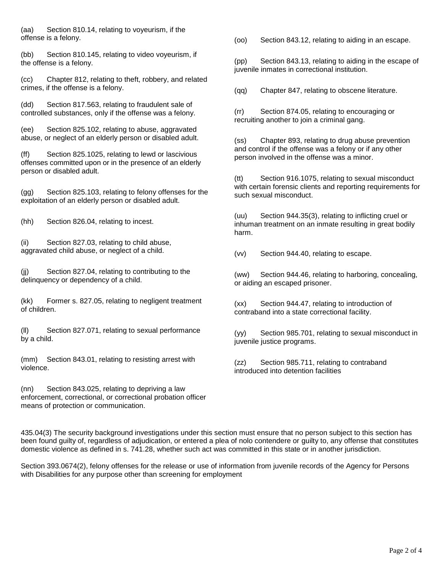(aa) Section 810.14, relating to voyeurism, if the offense is a felony.

(bb) Section 810.145, relating to video voyeurism, if the offense is a felony.

(cc) Chapter 812, relating to theft, robbery, and related crimes, if the offense is a felony.

(dd) Section 817.563, relating to fraudulent sale of controlled substances, only if the offense was a felony.

(ee) Section 825.102, relating to abuse, aggravated abuse, or neglect of an elderly person or disabled adult.

(ff) Section 825.1025, relating to lewd or lascivious offenses committed upon or in the presence of an elderly person or disabled adult.

(gg) Section 825.103, relating to felony offenses for the exploitation of an elderly person or disabled adult.

(hh) Section 826.04, relating to incest.

(ii) Section 827.03, relating to child abuse, aggravated child abuse, or neglect of a child.

(ii) Section 827.04, relating to contributing to the delinquency or dependency of a child.

(kk) Former s. 827.05, relating to negligent treatment of children.

(ll) Section 827.071, relating to sexual performance by a child.

(mm) Section 843.01, relating to resisting arrest with violence.

(nn) Section 843.025, relating to depriving a law enforcement, correctional, or correctional probation officer means of protection or communication.

(oo) Section 843.12, relating to aiding in an escape.

(pp) Section 843.13, relating to aiding in the escape of juvenile inmates in correctional institution.

(qq) Chapter 847, relating to obscene literature.

(rr) Section 874.05, relating to encouraging or recruiting another to join a criminal gang.

(ss) Chapter 893, relating to drug abuse prevention and control if the offense was a felony or if any other person involved in the offense was a minor.

(tt) Section 916.1075, relating to sexual misconduct with certain forensic clients and reporting requirements for such sexual misconduct.

(uu) Section 944.35(3), relating to inflicting cruel or inhuman treatment on an inmate resulting in great bodily harm.

(vv) Section 944.40, relating to escape.

(ww) Section 944.46, relating to harboring, concealing, or aiding an escaped prisoner.

(xx) Section 944.47, relating to introduction of contraband into a state correctional facility.

(yy) Section 985.701, relating to sexual misconduct in juvenile justice programs.

(zz) Section 985.711, relating to contraband introduced into detention facilities

435.04(3) The security background investigations under this section must ensure that no person subject to this section has been found guilty of, regardless of adjudication, or entered a plea of nolo contendere or guilty to, any offense that constitutes domestic violence as defined in s. 741.28, whether such act was committed in this state or in another jurisdiction.

Section 393.0674(2), felony offenses for the release or use of information from juvenile records of the Agency for Persons with Disabilities for any purpose other than screening for employment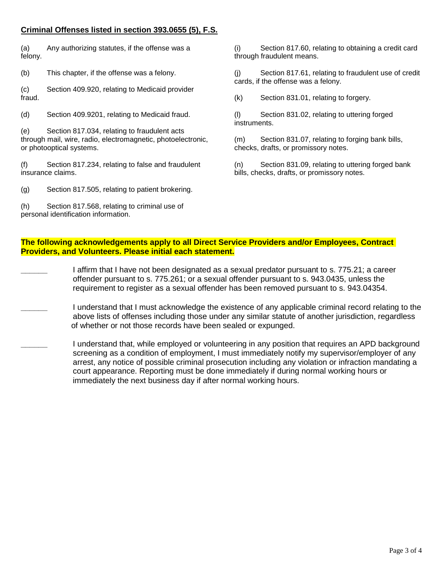# **Criminal Offenses listed in section 393.0655 (5), F.S.**

(a) Any authorizing statutes, if the offense was a felony.

(b) This chapter, if the offense was a felony.

(c) Section [409.920,](http://www.leg.state.fl.us/statutes/index.cfm?App_mode=Display_Statute&Search_String=393.0655&URL=0400-0499/0409/Sections/0409.920.html) relating to Medicaid provider fraud.

(d) Section [409.9201,](http://www.leg.state.fl.us/statutes/index.cfm?App_mode=Display_Statute&Search_String=393.0655&URL=0400-0499/0409/Sections/0409.9201.html) relating to Medicaid fraud.

(e) Section [817.034,](http://www.leg.state.fl.us/statutes/index.cfm?App_mode=Display_Statute&Search_String=393.0655&URL=0800-0899/0817/Sections/0817.034.html) relating to fraudulent acts through mail, wire, radio, electromagnetic, photoelectronic, or photooptical systems.

(f) Section [817.234,](http://www.leg.state.fl.us/statutes/index.cfm?App_mode=Display_Statute&Search_String=393.0655&URL=0800-0899/0817/Sections/0817.234.html) relating to false and fraudulent insurance claims.

(g) Section [817.505,](http://www.leg.state.fl.us/statutes/index.cfm?App_mode=Display_Statute&Search_String=393.0655&URL=0800-0899/0817/Sections/0817.505.html) relating to patient brokering.

(h) Section [817.568,](http://www.leg.state.fl.us/statutes/index.cfm?App_mode=Display_Statute&Search_String=393.0655&URL=0800-0899/0817/Sections/0817.568.html) relating to criminal use of personal identification information.

(i) Section [817.60,](http://www.leg.state.fl.us/statutes/index.cfm?App_mode=Display_Statute&Search_String=393.0655&URL=0800-0899/0817/Sections/0817.60.html) relating to obtaining a credit card through fraudulent means.

(j) Section [817.61,](http://www.leg.state.fl.us/statutes/index.cfm?App_mode=Display_Statute&Search_String=393.0655&URL=0800-0899/0817/Sections/0817.61.html) relating to fraudulent use of credit cards, if the offense was a felony.

(k) Section [831.01,](http://www.leg.state.fl.us/statutes/index.cfm?App_mode=Display_Statute&Search_String=393.0655&URL=0800-0899/0831/Sections/0831.01.html) relating to forgery.

(l) Section [831.02,](http://www.leg.state.fl.us/statutes/index.cfm?App_mode=Display_Statute&Search_String=393.0655&URL=0800-0899/0831/Sections/0831.02.html) relating to uttering forged instruments.

(m) Section [831.07,](http://www.leg.state.fl.us/statutes/index.cfm?App_mode=Display_Statute&Search_String=393.0655&URL=0800-0899/0831/Sections/0831.07.html) relating to forging bank bills, checks, drafts, or promissory notes.

(n) Section [831.09,](http://www.leg.state.fl.us/statutes/index.cfm?App_mode=Display_Statute&Search_String=393.0655&URL=0800-0899/0831/Sections/0831.09.html) relating to uttering forged bank bills, checks, drafts, or promissory notes.

# **The following acknowledgements apply to all Direct Service Providers and/or Employees, Contract Providers, and Volunteers. Please initial each statement.**

**\_\_\_\_\_\_** I affirm that I have not been designated as a sexual predator pursuant to s. 775.21; a career offender pursuant to s. 775.261; or a sexual offender pursuant to s. 943.0435, unless the requirement to register as a sexual offender has been removed pursuant to s. 943.04354.

**\_\_\_\_\_\_** I understand that I must acknowledge the existence of any applicable criminal record relating to the above lists of offenses including those under any similar statute of another jurisdiction, regardless of whether or not those records have been sealed or expunged.

**\_\_\_\_\_\_** I understand that, while employed or volunteering in any position that requires an APD background screening as a condition of employment, I must immediately notify my supervisor/employer of any arrest, any notice of possible criminal prosecution including any violation or infraction mandating a court appearance. Reporting must be done immediately if during normal working hours or immediately the next business day if after normal working hours.